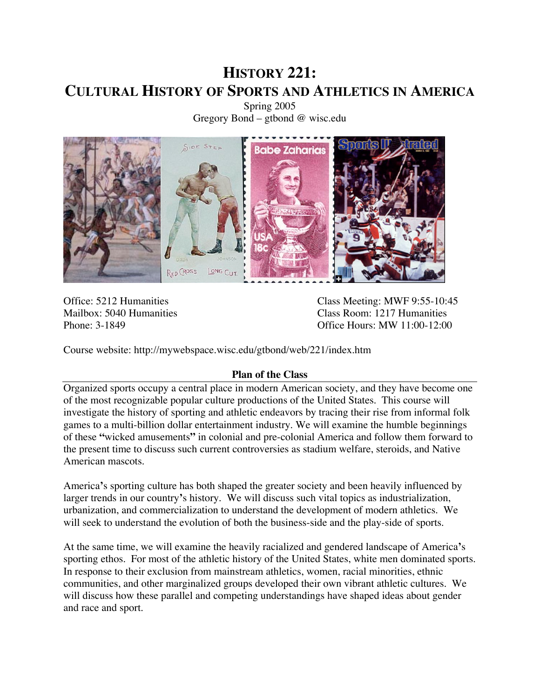# **HISTORY 221: CULTURAL HISTORY OF SPORTS AND ATHLETICS IN AMERICA**

Spring 2005 Gregory Bond – gtbond @ wisc.edu



Office: 5212 Humanities Class Meeting: MWF 9:55-10:45 Mailbox: 5040 Humanities<br>
Phone: 3-1849<br>
Class Room: 1217 Humanities<br>
Office Hours: MW 11:00-12:00 Office Hours: MW 11:00-12:00

Course website: http://mywebspace.wisc.edu/gtbond/web/221/index.htm

# **Plan of the Class**

Organized sports occupy a central place in modern American society, and they have become one of the most recognizable popular culture productions of the United States. This course will investigate the history of sporting and athletic endeavors by tracing their rise from informal folk games to a multi-billion dollar entertainment industry. We will examine the humble beginnings of these **"**wicked amusements**"** in colonial and pre-colonial America and follow them forward to the present time to discuss such current controversies as stadium welfare, steroids, and Native American mascots.

America**'**s sporting culture has both shaped the greater society and been heavily influenced by larger trends in our country**'**s history. We will discuss such vital topics as industrialization, urbanization, and commercialization to understand the development of modern athletics. We will seek to understand the evolution of both the business-side and the play-side of sports.

At the same time, we will examine the heavily racialized and gendered landscape of America**'**s sporting ethos. For most of the athletic history of the United States, white men dominated sports. In response to their exclusion from mainstream athletics, women, racial minorities, ethnic communities, and other marginalized groups developed their own vibrant athletic cultures. We will discuss how these parallel and competing understandings have shaped ideas about gender and race and sport.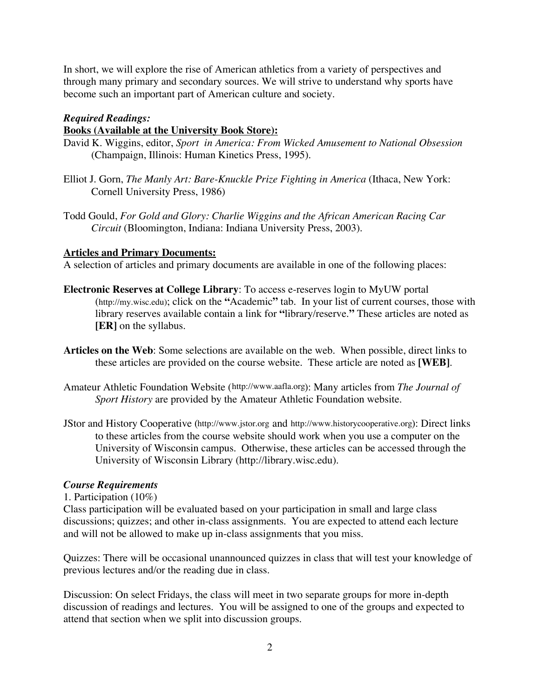In short, we will explore the rise of American athletics from a variety of perspectives and through many primary and secondary sources. We will strive to understand why sports have become such an important part of American culture and society.

### *Required Readings:*

### **Books (Available at the University Book Store):**

- David K. Wiggins, editor, *Sport in America: From Wicked Amusement to National Obsession* (Champaign, Illinois: Human Kinetics Press, 1995).
- Elliot J. Gorn, *The Manly Art: Bare-Knuckle Prize Fighting in America* (Ithaca, New York: Cornell University Press, 1986)
- Todd Gould, *For Gold and Glory: Charlie Wiggins and the African American Racing Car Circuit* (Bloomington, Indiana: Indiana University Press, 2003).

### **Articles and Primary Documents:**

A selection of articles and primary documents are available in one of the following places:

- **Electronic Reserves at College Library**: To access e-reserves login to MyUW portal (http://my.wisc.edu); click on the **"**Academic**"** tab. In your list of current courses, those with library reserves available contain a link for **"**library/reserve.**"** These articles are noted as **[ER]** on the syllabus.
- **Articles on the Web**: Some selections are available on the web. When possible, direct links to these articles are provided on the course website. These article are noted as **[WEB]**.
- Amateur Athletic Foundation Website (http://www.aafla.org): Many articles from *The Journal of Sport History* are provided by the Amateur Athletic Foundation website.
- JStor and History Cooperative (http://www.jstor.org and http://www.historycooperative.org): Direct links to these articles from the course website should work when you use a computer on the University of Wisconsin campus. Otherwise, these articles can be accessed through the University of Wisconsin Library (http://library.wisc.edu).

# *Course Requirements*

### 1. Participation (10%)

Class participation will be evaluated based on your participation in small and large class discussions; quizzes; and other in-class assignments. You are expected to attend each lecture and will not be allowed to make up in-class assignments that you miss.

Quizzes: There will be occasional unannounced quizzes in class that will test your knowledge of previous lectures and/or the reading due in class.

Discussion: On select Fridays, the class will meet in two separate groups for more in-depth discussion of readings and lectures. You will be assigned to one of the groups and expected to attend that section when we split into discussion groups.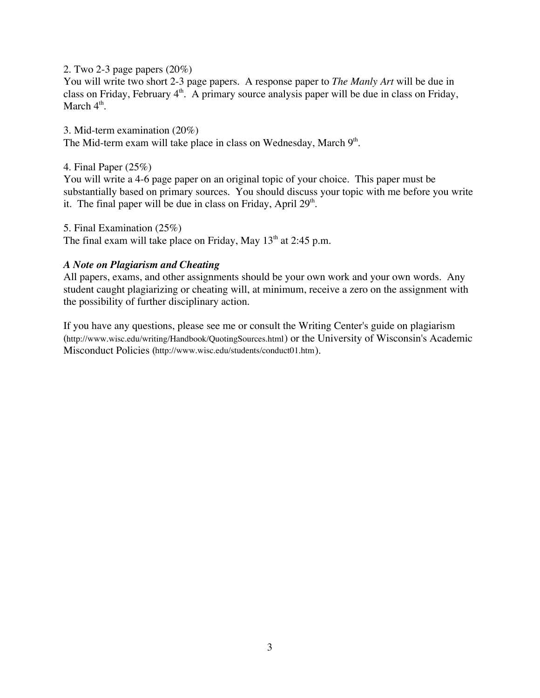2. Two 2-3 page papers (20%)

You will write two short 2-3 page papers. A response paper to *The Manly Art* will be due in class on Friday, February  $4<sup>th</sup>$ . A primary source analysis paper will be due in class on Friday, March  $4<sup>th</sup>$ .

3. Mid-term examination (20%) The Mid-term exam will take place in class on Wednesday, March  $9<sup>th</sup>$ .

4. Final Paper (25%)

You will write a 4-6 page paper on an original topic of your choice. This paper must be substantially based on primary sources. You should discuss your topic with me before you write it. The final paper will be due in class on Friday, April 29<sup>th</sup>.

5. Final Examination (25%)

The final exam will take place on Friday, May 13<sup>th</sup> at 2:45 p.m.

# *A Note on Plagiarism and Cheating*

All papers, exams, and other assignments should be your own work and your own words. Any student caught plagiarizing or cheating will, at minimum, receive a zero on the assignment with the possibility of further disciplinary action.

If you have any questions, please see me or consult the Writing Center's guide on plagiarism (http://www.wisc.edu/writing/Handbook/QuotingSources.html) or the University of Wisconsin's Academic Misconduct Policies (http://www.wisc.edu/students/conduct01.htm).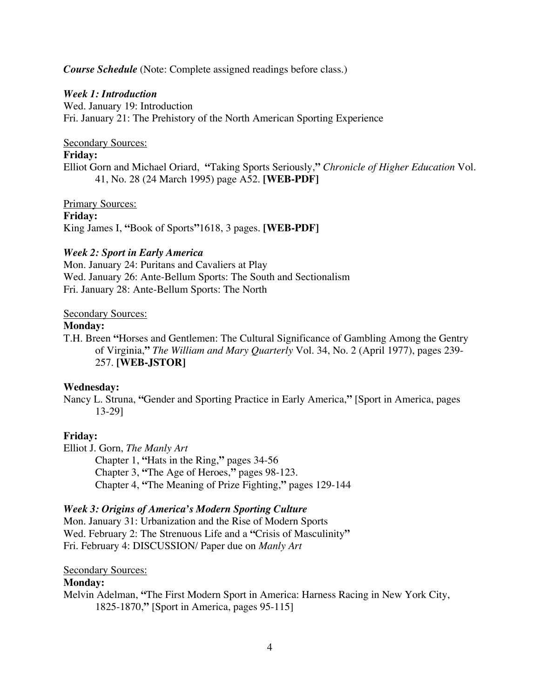### *Course Schedule* (Note: Complete assigned readings before class.)

### *Week 1: Introduction*

Wed. January 19: Introduction Fri. January 21: The Prehistory of the North American Sporting Experience

### Secondary Sources:

### **Friday:**

Elliot Gorn and Michael Oriard, **"**Taking Sports Seriously,**"** *Chronicle of Higher Education* Vol. 41, No. 28 (24 March 1995) page A52. **[WEB-PDF]**

Primary Sources:

**Friday:**

King James I, **"**Book of Sports**"**1618, 3 pages. **[WEB-PDF]**

# *Week 2: Sport in Early America*

Mon. January 24: Puritans and Cavaliers at Play Wed. January 26: Ante-Bellum Sports: The South and Sectionalism Fri. January 28: Ante-Bellum Sports: The North

### Secondary Sources:

### **Monday:**

T.H. Breen **"**Horses and Gentlemen: The Cultural Significance of Gambling Among the Gentry of Virginia,**"** *The William and Mary Quarterly* Vol. 34, No. 2 (April 1977), pages 239- 257. **[WEB-JSTOR]**

# **Wednesday:**

Nancy L. Struna, **"**Gender and Sporting Practice in Early America,**"** [Sport in America, pages 13-29]

# **Friday:**

Elliot J. Gorn, *The Manly Art*

Chapter 1, **"**Hats in the Ring,**"** pages 34-56 Chapter 3, **"**The Age of Heroes,**"** pages 98-123. Chapter 4, **"**The Meaning of Prize Fighting,**"** pages 129-144

# *Week 3: Origins of America's Modern Sporting Culture*

Mon. January 31: Urbanization and the Rise of Modern Sports Wed. February 2: The Strenuous Life and a **"**Crisis of Masculinity**"** Fri. February 4: DISCUSSION/ Paper due on *Manly Art*

# Secondary Sources:

# **Monday:**

Melvin Adelman, **"**The First Modern Sport in America: Harness Racing in New York City, 1825-1870,**"** [Sport in America, pages 95-115]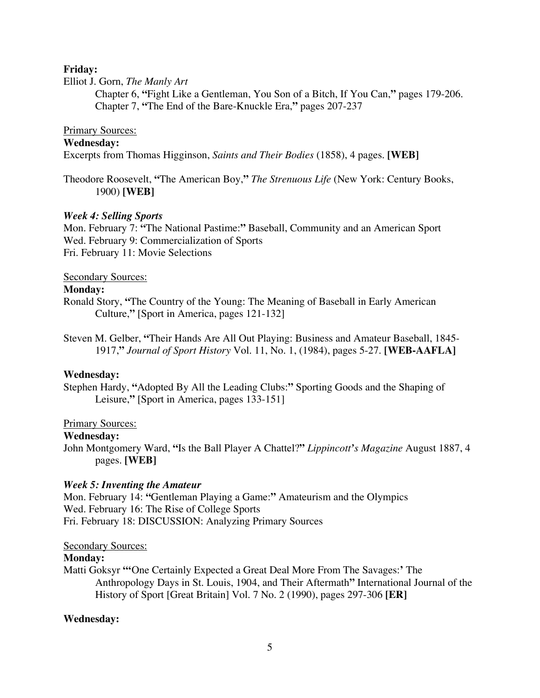### **Friday:**

### Elliot J. Gorn, *The Manly Art*

Chapter 6, **"**Fight Like a Gentleman, You Son of a Bitch, If You Can,**"** pages 179-206. Chapter 7, **"**The End of the Bare-Knuckle Era,**"** pages 207-237

### Primary Sources:

# **Wednesday:**

Excerpts from Thomas Higginson, *Saints and Their Bodies* (1858), 4 pages. **[WEB]**

Theodore Roosevelt, **"**The American Boy,**"** *The Strenuous Life* (New York: Century Books, 1900) **[WEB]**

# *Week 4: Selling Sports*

Mon. February 7: **"**The National Pastime:**"** Baseball, Community and an American Sport Wed. February 9: Commercialization of Sports Fri. February 11: Movie Selections

### Secondary Sources:

### **Monday:**

Ronald Story, **"**The Country of the Young: The Meaning of Baseball in Early American Culture,**"** [Sport in America, pages 121-132]

Steven M. Gelber, **"**Their Hands Are All Out Playing: Business and Amateur Baseball, 1845- 1917,**"** *Journal of Sport History* Vol. 11, No. 1, (1984), pages 5-27. **[WEB-AAFLA]**

### **Wednesday:**

Stephen Hardy, **"**Adopted By All the Leading Clubs:**"** Sporting Goods and the Shaping of Leisure,**"** [Sport in America, pages 133-151]

# **Primary Sources:**

### **Wednesday:**

John Montgomery Ward, **"**Is the Ball Player A Chattel?**"** *Lippincott's Magazine* August 1887, 4 pages. **[WEB]**

# *Week 5: Inventing the Amateur*

Mon. February 14: **"**Gentleman Playing a Game:**"** Amateurism and the Olympics Wed. February 16: The Rise of College Sports Fri. February 18: DISCUSSION: Analyzing Primary Sources

### Secondary Sources:

### **Monday:**

Matti Goksyr **"'**One Certainly Expected a Great Deal More From The Savages:**'** The Anthropology Days in St. Louis, 1904, and Their Aftermath**"** International Journal of the History of Sport [Great Britain] Vol. 7 No. 2 (1990), pages 297-306 **[ER]**

# **Wednesday:**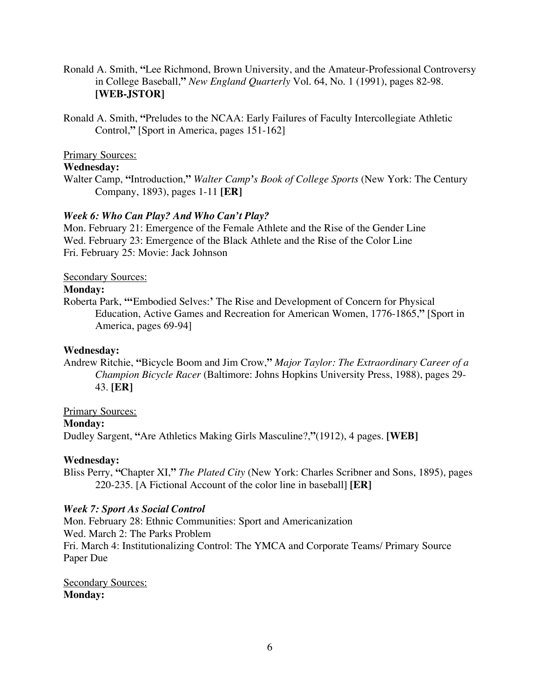- Ronald A. Smith, **"**Lee Richmond, Brown University, and the Amateur-Professional Controversy in College Baseball,**"** *New England Quarterly* Vol. 64, No. 1 (1991), pages 82-98. **[WEB-JSTOR]**
- Ronald A. Smith, **"**Preludes to the NCAA: Early Failures of Faculty Intercollegiate Athletic Control,**"** [Sport in America, pages 151-162]

# Primary Sources:

### **Wednesday:**

Walter Camp, **"**Introduction,**"** *Walter Camp's Book of College Sports* (New York: The Century Company, 1893), pages 1-11 **[ER]**

### *Week 6: Who Can Play? And Who Can't Play?*

Mon. February 21: Emergence of the Female Athlete and the Rise of the Gender Line Wed. February 23: Emergence of the Black Athlete and the Rise of the Color Line Fri. February 25: Movie: Jack Johnson

Secondary Sources:

### **Monday:**

Roberta Park, **"'**Embodied Selves:**'** The Rise and Development of Concern for Physical Education, Active Games and Recreation for American Women, 1776-1865,**"** [Sport in America, pages 69-94]

### **Wednesday:**

Andrew Ritchie, **"**Bicycle Boom and Jim Crow,**"** *Major Taylor: The Extraordinary Career of a Champion Bicycle Racer* (Baltimore: Johns Hopkins University Press, 1988), pages 29- 43. **[ER]**

### Primary Sources:

### **Monday:**

Dudley Sargent, **"**Are Athletics Making Girls Masculine?,**"**(1912), 4 pages. **[WEB]**

### **Wednesday:**

Bliss Perry, **"**Chapter XI,**"** *The Plated City* (New York: Charles Scribner and Sons, 1895), pages 220-235. [A Fictional Account of the color line in baseball] **[ER]**

### *Week 7: Sport As Social Control*

Mon. February 28: Ethnic Communities: Sport and Americanization Wed. March 2: The Parks Problem Fri. March 4: Institutionalizing Control: The YMCA and Corporate Teams/ Primary Source Paper Due

Secondary Sources: **Monday:**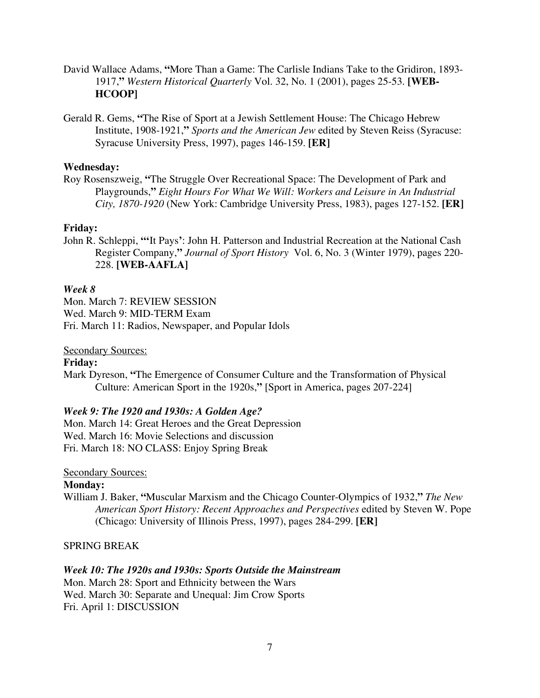- David Wallace Adams, **"**More Than a Game: The Carlisle Indians Take to the Gridiron, 1893- 1917,**"** *Western Historical Quarterly* Vol. 32, No. 1 (2001), pages 25-53. **[WEB-HCOOP]**
- Gerald R. Gems, **"**The Rise of Sport at a Jewish Settlement House: The Chicago Hebrew Institute, 1908-1921,**"** *Sports and the American Jew* edited by Steven Reiss (Syracuse: Syracuse University Press, 1997), pages 146-159. **[ER]**

# **Wednesday:**

Roy Rosenszweig, **"**The Struggle Over Recreational Space: The Development of Park and Playgrounds,**"** *Eight Hours For What We Will: Workers and Leisure in An Industrial City, 1870-1920* (New York: Cambridge University Press, 1983), pages 127-152. **[ER]**

# **Friday:**

John R. Schleppi, **"'**It Pays**'**: John H. Patterson and Industrial Recreation at the National Cash Register Company,**"** *Journal of Sport History* Vol. 6, No. 3 (Winter 1979), pages 220- 228. **[WEB-AAFLA]**

# *Week 8*

Mon. March 7: REVIEW SESSION Wed. March 9: MID-TERM Exam Fri. March 11: Radios, Newspaper, and Popular Idols

# Secondary Sources:

# **Friday:**

Mark Dyreson, **"**The Emergence of Consumer Culture and the Transformation of Physical Culture: American Sport in the 1920s,**"** [Sport in America, pages 207-224]

# *Week 9: The 1920 and 1930s: A Golden Age?*

Mon. March 14: Great Heroes and the Great Depression Wed. March 16: Movie Selections and discussion Fri. March 18: NO CLASS: Enjoy Spring Break

# Secondary Sources:

# **Monday:**

William J. Baker, **"**Muscular Marxism and the Chicago Counter-Olympics of 1932,**"** *The New American Sport History: Recent Approaches and Perspectives* edited by Steven W. Pope (Chicago: University of Illinois Press, 1997), pages 284-299. **[ER]**

# SPRING BREAK

# *Week 10: The 1920s and 1930s: Sports Outside the Mainstream*

Mon. March 28: Sport and Ethnicity between the Wars Wed. March 30: Separate and Unequal: Jim Crow Sports Fri. April 1: DISCUSSION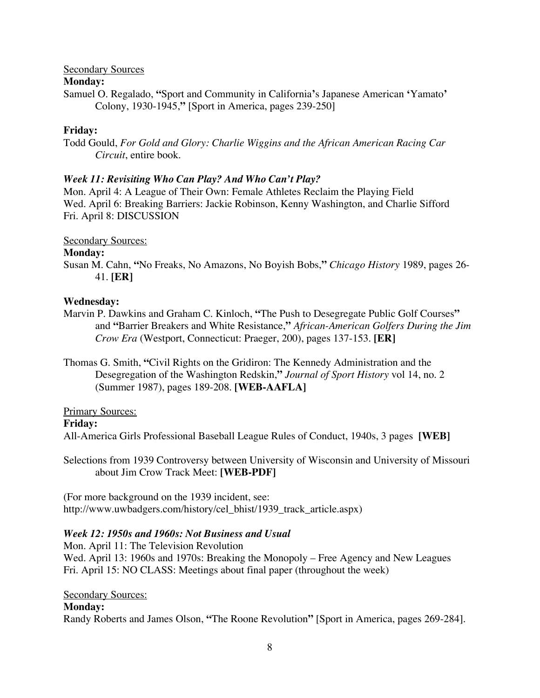### Secondary Sources

# **Monday:**

Samuel O. Regalado, **"**Sport and Community in California**'**s Japanese American **'**Yamato**'** Colony, 1930-1945,**"** [Sport in America, pages 239-250]

# **Friday:**

Todd Gould, *For Gold and Glory: Charlie Wiggins and the African American Racing Car Circuit*, entire book.

# *Week 11: Revisiting Who Can Play? And Who Can't Play?*

Mon. April 4: A League of Their Own: Female Athletes Reclaim the Playing Field Wed. April 6: Breaking Barriers: Jackie Robinson, Kenny Washington, and Charlie Sifford Fri. April 8: DISCUSSION

### Secondary Sources:

# **Monday:**

Susan M. Cahn, **"**No Freaks, No Amazons, No Boyish Bobs,**"** *Chicago History* 1989, pages 26- 41. **[ER]**

# **Wednesday:**

- Marvin P. Dawkins and Graham C. Kinloch, **"**The Push to Desegregate Public Golf Courses**"** and **"**Barrier Breakers and White Resistance,**"** *African-American Golfers During the Jim Crow Era* (Westport, Connecticut: Praeger, 200), pages 137-153. **[ER]**
- Thomas G. Smith, **"**Civil Rights on the Gridiron: The Kennedy Administration and the Desegregation of the Washington Redskin,**"** *Journal of Sport History* vol 14, no. 2 (Summer 1987), pages 189-208. **[WEB-AAFLA]**

# Primary Sources:

### **Friday:**

All-America Girls Professional Baseball League Rules of Conduct, 1940s, 3 pages **[WEB]**

Selections from 1939 Controversy between University of Wisconsin and University of Missouri about Jim Crow Track Meet: **[WEB-PDF]**

(For more background on the 1939 incident, see: http://www.uwbadgers.com/history/cel\_bhist/1939\_track\_article.aspx)

# *Week 12: 1950s and 1960s: Not Business and Usual*

Mon. April 11: The Television Revolution Wed. April 13: 1960s and 1970s: Breaking the Monopoly – Free Agency and New Leagues Fri. April 15: NO CLASS: Meetings about final paper (throughout the week)

### Secondary Sources:

# **Monday:**

Randy Roberts and James Olson, **"**The Roone Revolution**"** [Sport in America, pages 269-284].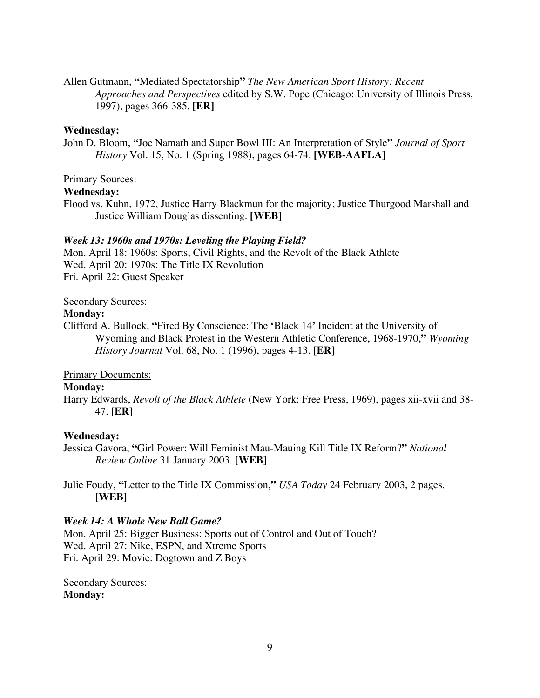Allen Gutmann, **"**Mediated Spectatorship**"** *The New American Sport History: Recent Approaches and Perspectives* edited by S.W. Pope (Chicago: University of Illinois Press, 1997), pages 366-385. **[ER]**

### **Wednesday:**

John D. Bloom, **"**Joe Namath and Super Bowl III: An Interpretation of Style**"** *Journal of Sport History* Vol. 15, No. 1 (Spring 1988), pages 64-74. **[WEB-AAFLA]**

### Primary Sources:

### **Wednesday:**

Flood vs. Kuhn, 1972, Justice Harry Blackmun for the majority; Justice Thurgood Marshall and Justice William Douglas dissenting. **[WEB]**

### *Week 13: 1960s and 1970s: Leveling the Playing Field?*

Mon. April 18: 1960s: Sports, Civil Rights, and the Revolt of the Black Athlete Wed. April 20: 1970s: The Title IX Revolution Fri. April 22: Guest Speaker

### Secondary Sources:

### **Monday:**

Clifford A. Bullock, **"**Fired By Conscience: The **'**Black 14**'** Incident at the University of Wyoming and Black Protest in the Western Athletic Conference, 1968-1970,**"** *Wyoming History Journal* Vol. 68, No. 1 (1996), pages 4-13. **[ER]**

# Primary Documents:

# **Monday:**

Harry Edwards, *Revolt of the Black Athlete* (New York: Free Press, 1969), pages xii-xvii and 38- 47. **[ER]**

# **Wednesday:**

Jessica Gavora, **"**Girl Power: Will Feminist Mau-Mauing Kill Title IX Reform?**"** *National Review Online* 31 January 2003. **[WEB]**

Julie Foudy, **"**Letter to the Title IX Commission,**"** *USA Today* 24 February 2003, 2 pages. **[WEB]**

# *Week 14: A Whole New Ball Game?*

Mon. April 25: Bigger Business: Sports out of Control and Out of Touch? Wed. April 27: Nike, ESPN, and Xtreme Sports Fri. April 29: Movie: Dogtown and Z Boys

Secondary Sources: **Monday:**